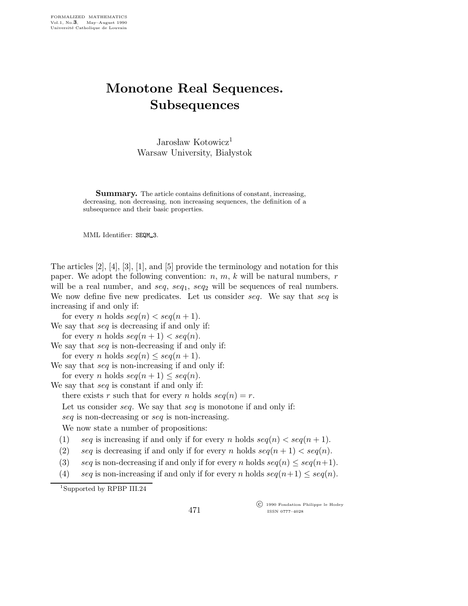## Monotone Real Sequences. **Subsequences**

Jarosław Kotowicz<sup>1</sup> Warsaw University, Białystok

Summary. The article contains definitions of constant, increasing, decreasing, non decreasing, non increasing sequences, the definition of a subsequence and their basic properties.

MML Identifier: SEQM\_3.

The articles [2], [4], [3], [1], and [5] provide the terminology and notation for this paper. We adopt the following convention:  $n, m, k$  will be natural numbers, r will be a real number, and seq,  $seq_1$ ,  $seq_2$  will be sequences of real numbers. We now define five new predicates. Let us consider seq. We say that seq is increasing if and only if:

for every *n* holds  $seq(n) < seq(n+1)$ .

We say that *seq* is decreasing if and only if: for every *n* holds  $seq(n + 1) < seq(n)$ .

We say that *seq* is non-decreasing if and only if: for every *n* holds  $seq(n) \leq seq(n+1)$ .

We say that *seq* is non-increasing if and only if: for every *n* holds  $seq(n + 1) \leq seq(n)$ .

We say that *seq* is constant if and only if:

there exists r such that for every n holds  $seq(n) = r$ .

Let us consider *seq*. We say that *seq* is monotone if and only if:

seq is non-decreasing or seq is non-increasing.

We now state a number of propositions:

- (1) seq is increasing if and only if for every n holds  $seq(n) < seq(n+1)$ .
- (2) seq is decreasing if and only if for every n holds  $seq(n + 1) < seq(n)$ .
- (3) seq is non-decreasing if and only if for every n holds  $seq(n) \leq seq(n+1)$ .
- (4) seq is non-increasing if and only if for every n holds  $seq(n+1) \leq seq(n)$ .

<sup>1</sup>Supported by RPBP III.24

471

 c 1990 Fondation Philippe le Hodey ISSN 0777–4028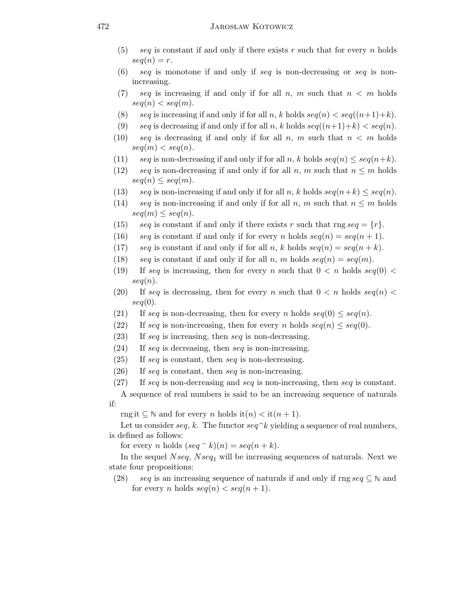## 472 JAROSŁAW KOTOWICZ

- (5) seq is constant if and only if there exists r such that for every n holds  $seq(n) = r$ .
- (6) seq is monotone if and only if seq is non-decreasing or seq is nonincreasing.
- (7) seq is increasing if and only if for all n, m such that  $n < m$  holds  $seq(n) < seq(m).$
- (8) seq is increasing if and only if for all n, k holds  $seq(n) < seq((n+1)+k)$ .
- (9) seq is decreasing if and only if for all n, k holds  $seq((n+1)+k) < seq(n)$ .
- (10) seq is decreasing if and only if for all n, m such that  $n < m$  holds  $seq(m) < seq(n)$ .
- (11) seq is non-decreasing if and only if for all n, k holds  $seq(n) \leq seq(n+k)$ .
- (12) seq is non-decreasing if and only if for all n, m such that  $n \leq m$  holds  $seq(n) \leq seq(m).$
- (13) seq is non-increasing if and only if for all n, k holds  $seq(n+k) \leq seq(n)$ .
- (14) seq is non-increasing if and only if for all n, m such that  $n \leq m$  holds  $seq(m) \leq seq(n).$
- (15) seq is constant if and only if there exists r such that rng  $seq = \{r\}$ .
- (16) seq is constant if and only if for every n holds  $seq(n) = seq(n + 1)$ .
- (17) seq is constant if and only if for all n, k holds  $seq(n) = seq(n + k)$ .
- (18) seq is constant if and only if for all n, m holds  $seq(n) = seq(m)$ .
- (19) If seq is increasing, then for every n such that  $0 < n$  holds seq(0)  $<$  $seq(n).$
- (20) If seq is decreasing, then for every n such that  $0 < n$  holds seq(n)  $<$  $seq(0)$ .
- (21) If seq is non-decreasing, then for every n holds  $seq(0) \leq seq(n)$ .
- (22) If seq is non-increasing, then for every n holds  $seq(n) \leq seq(0)$ .
- $(23)$  If seq is increasing, then seq is non-decreasing.
- $(24)$  If seq is decreasing, then seq is non-increasing.
- $(25)$  If seq is constant, then seq is non-decreasing.
- $(26)$  If seq is constant, then seq is non-increasing.
- (27) If seq is non-decreasing and seq is non-increasing, then seq is constant.

A sequence of real numbers is said to be an increasing sequence of naturals if:

rng it  $\subseteq \mathbb{N}$  and for every n holds it $(n) <$  it $(n+1)$ .

Let us consider seq, k. The functor  $seq \hat{ } k$  yielding a sequence of real numbers, is defined as follows:

for every *n* holds  $(\text{seq } \hat{ }^n k)(n) = \text{seq}(n + k).$ 

In the sequel  $Nseq$ ,  $Nseq_1$  will be increasing sequences of naturals. Next we state four propositions:

(28) seq is an increasing sequence of naturals if and only if rng seq  $\subseteq \mathbb{N}$  and for every *n* holds  $seq(n) < seq(n + 1)$ .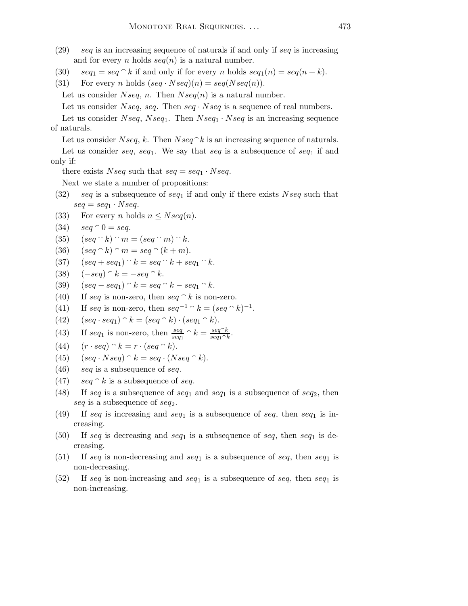- $(29)$  seq is an increasing sequence of naturals if and only if seq is increasing and for every *n* holds  $seq(n)$  is a natural number.
- (30)  $seq_1 = seq \hat{ } \hat{ } \hat{ }$  if and only if for every n holds  $seq_1(n) = seq(n + k)$ .
- (31) For every *n* holds  $(seq \cdot Nseq)(n) = seq(Nseq(n)).$

Let us consider  $Nseq$ , n. Then  $Nseq(n)$  is a natural number.

Let us consider  $Nseq$ , seq. Then seq  $\cdot Nseq$  is a sequence of real numbers.

Let us consider  $Nseq, Nseq_1$ . Then  $Nseq_1 \cdot Nseq$  is an increasing sequence of naturals.

Let us consider  $Nseq, k$ . Then  $Nseq \, \hat{k}$  is an increasing sequence of naturals. Let us consider seq, seq<sub>1</sub>. We say that seq is a subsequence of seq<sub>1</sub> if and only if:

there exists Nseq such that  $seq = seq_1 \cdot Nseq$ .

Next we state a number of propositions:

- (32) seq is a subsequence of seq<sub>1</sub> if and only if there exists Nseq such that  $seq = seq_1 \cdot Nseq.$
- (33) For every *n* holds  $n \leq Nseq(n)$ .
- (34)  $seq \cap 0 = seq.$
- (35)  $(seq \cap k) \cap m = (seq \cap m) \cap k$ .
- (36)  $(\text{seq} \cap k) \cap m = \text{seq} \cap (k+m).$
- (37)  $(\text{seq} + \text{seq}_1) \hat{k} = \text{seq} \hat{k} + \text{seq}_1 \hat{k}.$
- (38)  $(-seq) \hat{ } \; k = -seq \hat{ } \; k.$
- (39)  $(seg seq_1) \hat{k} = seq \hat{k} seq_1 \hat{k}.$
- (40) If seq is non-zero, then seq  $\hat{ }$  k is non-zero.
- (41) If seq is non-zero, then  $seq^{-1} \hat{ } \; k = (seq \hat{ } \; k)^{-1}.$
- (42)  $(seq \cdot seq_1) \cap k = (seq \cap k) \cdot (seq_1 \cap k).$
- (43) If seq<sub>1</sub> is non-zero, then  $\frac{seq}{seq_1} \cap k = \frac{seq \cap k}{seq_1 \cap k}$  $\frac{seq \ \ \kappa}{seq_1 \cap k}.$
- (44)  $(r \cdot seq) \cap k = r \cdot (seq \cap k).$
- (45)  $(seg \cdot Nseq) \cap k = seq \cdot (Nseq \cap k).$
- $(46)$  seq is a subsequence of seq.
- (47)  $seq \hat{ }$  is a subsequence of seq.
- (48) If seq is a subsequence of seq<sub>1</sub> and seq<sub>1</sub> is a subsequence of seq<sub>2</sub>, then seq is a subsequence of  $seq_2$ .
- (49) If seq is increasing and seq<sub>1</sub> is a subsequence of seq, then seq<sub>1</sub> is increasing.
- (50) If seq is decreasing and seq<sub>1</sub> is a subsequence of seq, then seq<sub>1</sub> is decreasing.
- (51) If seq is non-decreasing and seq<sub>1</sub> is a subsequence of seq, then seq<sub>1</sub> is non-decreasing.
- (52) If seq is non-increasing and seq<sub>1</sub> is a subsequence of seq, then seq<sub>1</sub> is non-increasing.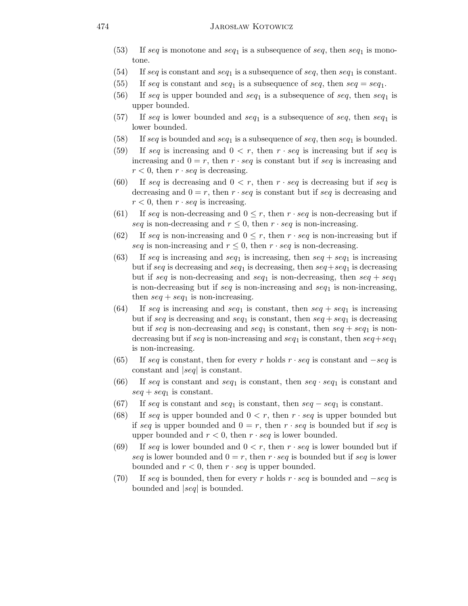- (53) If seq is monotone and seq<sub>1</sub> is a subsequence of seq, then seq<sub>1</sub> is monotone.
- (54) If seq is constant and seq<sub>1</sub> is a subsequence of seq, then seq<sub>1</sub> is constant.
- (55) If seq is constant and seq<sub>1</sub> is a subsequence of seq, then  $seq = seq_1$ .
- (56) If seq is upper bounded and seq<sub>1</sub> is a subsequence of seq, then seq<sub>1</sub> is upper bounded.
- (57) If seq is lower bounded and seq<sub>1</sub> is a subsequence of seq, then seq<sub>1</sub> is lower bounded.
- (58) If seq is bounded and seq<sub>1</sub> is a subsequence of seq, then seq<sub>1</sub> is bounded.
- (59) If seq is increasing and  $0 < r$ , then  $r \cdot seq$  is increasing but if seq is increasing and  $0 = r$ , then  $r \cdot seq$  is constant but if seq is increasing and  $r < 0$ , then  $r \cdot seq$  is decreasing.
- (60) If seq is decreasing and  $0 < r$ , then  $r \cdot seq$  is decreasing but if seq is decreasing and  $0 = r$ , then  $r \cdot seq$  is constant but if seq is decreasing and  $r < 0$ , then  $r \cdot seq$  is increasing.
- (61) If seq is non-decreasing and  $0 \leq r$ , then  $r \cdot seq$  is non-decreasing but if seq is non-decreasing and  $r \leq 0$ , then  $r \cdot seq$  is non-increasing.
- (62) If seq is non-increasing and  $0 \leq r$ , then  $r \cdot seq$  is non-increasing but if seq is non-increasing and  $r \leq 0$ , then  $r \cdot seq$  is non-decreasing.
- (63) If seq is increasing and seq<sub>1</sub> is increasing, then  $seq + seq_1$  is increasing but if seq is decreasing and seq<sub>1</sub> is decreasing, then  $seq + seq_1$  is decreasing but if seq is non-decreasing and seq<sub>1</sub> is non-decreasing, then  $seq + seq_1$ is non-decreasing but if seq is non-increasing and  $seq_1$  is non-increasing, then  $seq + seq_1$  is non-increasing.
- (64) If seq is increasing and seq<sub>1</sub> is constant, then  $seq + seq_1$  is increasing but if seq is decreasing and seq<sub>1</sub> is constant, then  $seq + seq_1$  is decreasing but if seq is non-decreasing and seq<sub>1</sub> is constant, then  $seq + seq_1$  is nondecreasing but if seq is non-increasing and seq<sub>1</sub> is constant, then  $seq + seq_1$ is non-increasing.
- (65) If seq is constant, then for every r holds  $r \cdot seq$  is constant and  $-seq$  is constant and |seq| is constant.
- (66) If seq is constant and seq<sub>1</sub> is constant, then seq  $\cdot$  seq<sub>1</sub> is constant and  $\textit{seq} + \textit{seq}_1$  is constant.
- (67) If seq is constant and seq<sub>1</sub> is constant, then  $seq seq_1$  is constant.
- (68) If seq is upper bounded and  $0 < r$ , then  $r \cdot seq$  is upper bounded but if seq is upper bounded and  $0 = r$ , then  $r \cdot seq$  is bounded but if seq is upper bounded and  $r < 0$ , then  $r \cdot seq$  is lower bounded.
- (69) If seq is lower bounded and  $0 < r$ , then  $r \cdot seq$  is lower bounded but if seq is lower bounded and  $0 = r$ , then  $r \cdot seq$  is bounded but if seq is lower bounded and  $r < 0$ , then  $r \cdot seq$  is upper bounded.
- (70) If seq is bounded, then for every r holds  $r \cdot seq$  is bounded and  $-seq$  is bounded and |seq| is bounded.